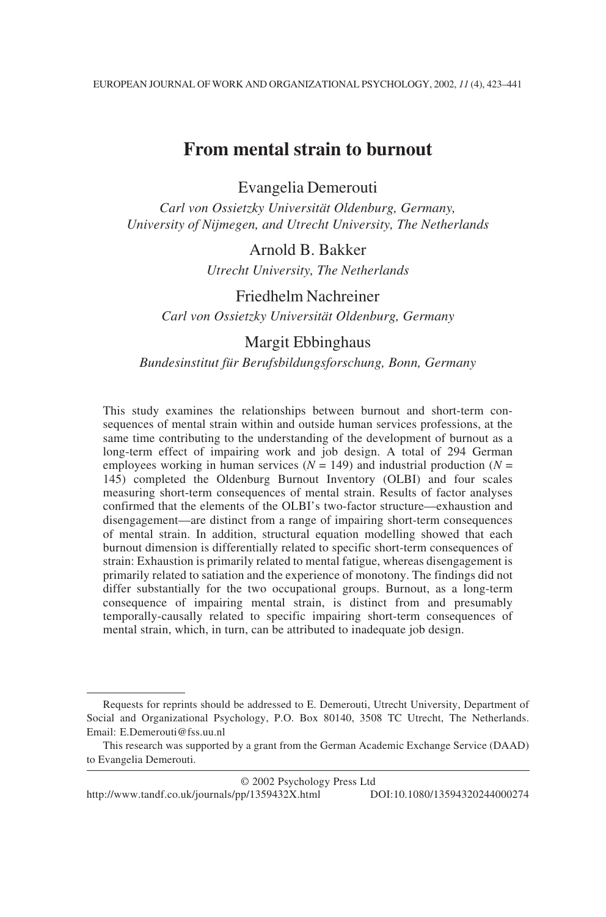# **From mental strain to burnout**

Evangelia Demerouti

*Carl von Ossietzky Universität Oldenburg, Germany, University of Nijmegen, and Utrecht University, The Netherlands*

> Arnold B. Bakker *Utrecht University, The Netherlands*

Friedhelm Nachreiner *Carl von Ossietzky Universität Oldenburg, Germany*

## Margit Ebbinghaus

*Bundesinstitut für Berufsbildungsforschung, Bonn, Germany*

This study examines the relationships between burnout and short-term consequences of mental strain within and outside human services professions, at the same time contributing to the understanding of the development of burnout as a long-term effect of impairing work and job design. A total of 294 German employees working in human services ( $N = 149$ ) and industrial production ( $N =$ 145) completed the Oldenburg Burnout Inventory (OLBI) and four scales measuring short-term consequences of mental strain. Results of factor analyses confirmed that the elements of the OLBI's two-factor structure—exhaustion and disengagement—are distinct from a range of impairing short-term consequences of mental strain. In addition, structural equation modelling showed that each burnout dimension is differentially related to specific short-term consequences of strain: Exhaustion is primarily related to mental fatigue, whereas disengagement is primarily related to satiation and the experience of monotony. The findings did not differ substantially for the two occupational groups. Burnout, as a long-term consequence of impairing mental strain, is distinct from and presumably temporally-causally related to specific impairing short-term consequences of mental strain, which, in turn, can be attributed to inadequate job design.

http://www.tandf.co.uk/journals/pp/1359432X.html DOI:10.1080/13594320244000274

Requests for reprints should be addressed to E. Demerouti, Utrecht University, Department of Social and Organizational Psychology, P.O. Box 80140, 3508 TC Utrecht, The Netherlands. Email: E.Demerouti@fss.uu.nl

This research was supported by a grant from the German Academic Exchange Service (DAAD) to Evangelia Demerouti.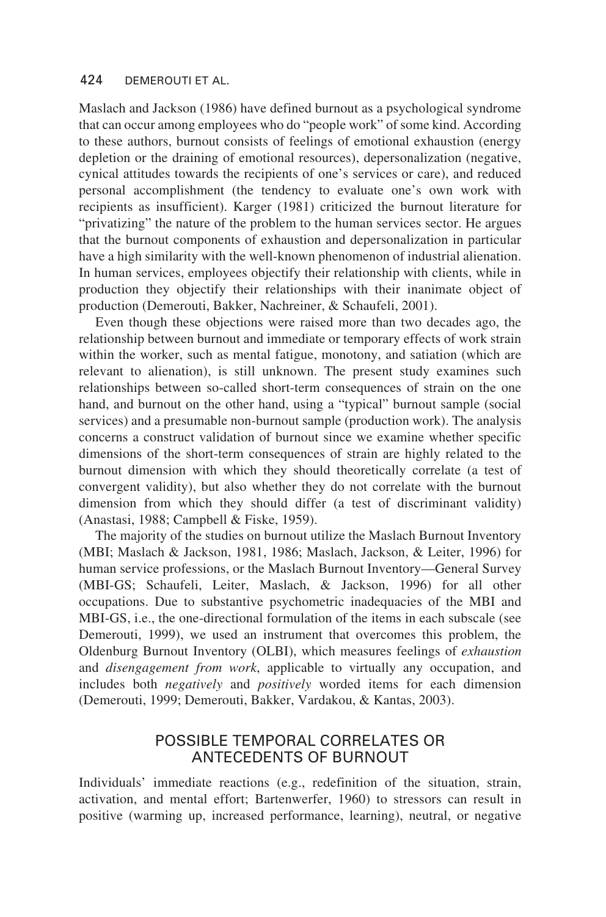Maslach and Jackson (1986) have defined burnout as a psychological syndrome that can occur among employees who do "people work" of some kind. According to these authors, burnout consists of feelings of emotional exhaustion (energy depletion or the draining of emotional resources), depersonalization (negative, cynical attitudes towards the recipients of one's services or care), and reduced personal accomplishment (the tendency to evaluate one's own work with recipients as insufficient). Karger (1981) criticized the burnout literature for "privatizing" the nature of the problem to the human services sector. He argues that the burnout components of exhaustion and depersonalization in particular have a high similarity with the well-known phenomenon of industrial alienation. In human services, employees objectify their relationship with clients, while in production they objectify their relationships with their inanimate object of production (Demerouti, Bakker, Nachreiner, & Schaufeli, 2001).

Even though these objections were raised more than two decades ago, the relationship between burnout and immediate or temporary effects of work strain within the worker, such as mental fatigue, monotony, and satiation (which are relevant to alienation), is still unknown. The present study examines such relationships between so-called short-term consequences of strain on the one hand, and burnout on the other hand, using a "typical" burnout sample (social services) and a presumable non-burnout sample (production work). The analysis concerns a construct validation of burnout since we examine whether specific dimensions of the short-term consequences of strain are highly related to the burnout dimension with which they should theoretically correlate (a test of convergent validity), but also whether they do not correlate with the burnout dimension from which they should differ (a test of discriminant validity) (Anastasi, 1988; Campbell & Fiske, 1959).

The majority of the studies on burnout utilize the Maslach Burnout Inventory (MBI; Maslach & Jackson, 1981, 1986; Maslach, Jackson, & Leiter, 1996) for human service professions, or the Maslach Burnout Inventory—General Survey (MBI-GS; Schaufeli, Leiter, Maslach, & Jackson, 1996) for all other occupations. Due to substantive psychometric inadequacies of the MBI and MBI-GS, i.e., the one-directional formulation of the items in each subscale (see Demerouti, 1999), we used an instrument that overcomes this problem, the Oldenburg Burnout Inventory (OLBI), which measures feelings of *exhaustion* and *disengagement from work*, applicable to virtually any occupation, and includes both *negatively* and *positively* worded items for each dimension (Demerouti, 1999; Demerouti, Bakker, Vardakou, & Kantas, 2003).

# POSSIBLE TEMPORAL CORRELATES OR ANTECEDENTS OF BURNOUT

Individuals' immediate reactions (e.g., redefinition of the situation, strain, activation, and mental effort; Bartenwerfer, 1960) to stressors can result in positive (warming up, increased performance, learning), neutral, or negative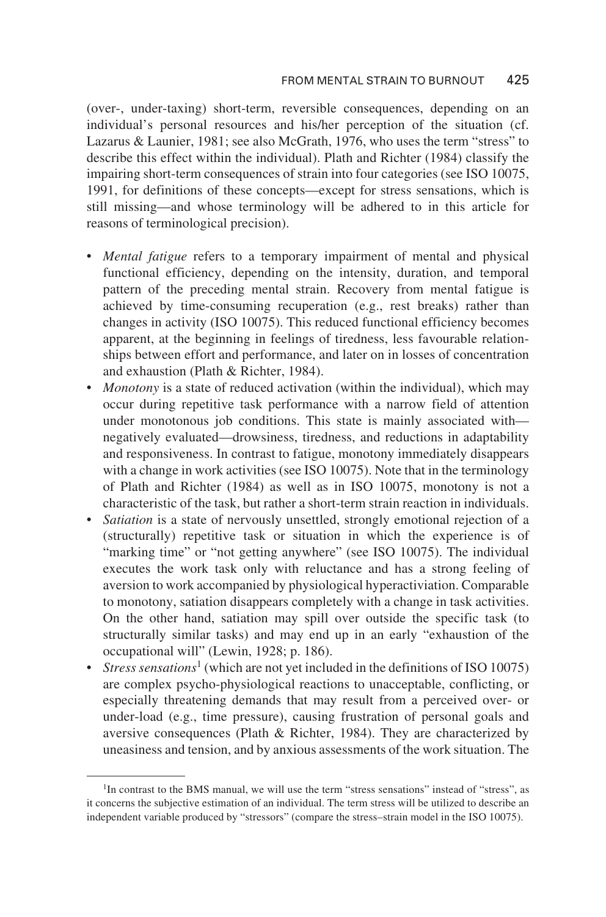(over-, under-taxing) short-term, reversible consequences, depending on an individual's personal resources and his/her perception of the situation (cf. Lazarus & Launier, 1981; see also McGrath, 1976, who uses the term "stress" to describe this effect within the individual). Plath and Richter (1984) classify the impairing short-term consequences of strain into four categories (see ISO 10075, 1991, for definitions of these concepts—except for stress sensations, which is still missing—and whose terminology will be adhered to in this article for reasons of terminological precision).

- *Mental fatigue* refers to a temporary impairment of mental and physical functional efficiency, depending on the intensity, duration, and temporal pattern of the preceding mental strain. Recovery from mental fatigue is achieved by time-consuming recuperation (e.g., rest breaks) rather than changes in activity (ISO 10075). This reduced functional efficiency becomes apparent, at the beginning in feelings of tiredness, less favourable relationships between effort and performance, and later on in losses of concentration and exhaustion (Plath & Richter, 1984).
- *Monotony* is a state of reduced activation (within the individual), which may occur during repetitive task performance with a narrow field of attention under monotonous job conditions. This state is mainly associated with negatively evaluated—drowsiness, tiredness, and reductions in adaptability and responsiveness. In contrast to fatigue, monotony immediately disappears with a change in work activities (see ISO 10075). Note that in the terminology of Plath and Richter (1984) as well as in ISO 10075, monotony is not a characteristic of the task, but rather a short-term strain reaction in individuals.
- *Satiation* is a state of nervously unsettled, strongly emotional rejection of a (structurally) repetitive task or situation in which the experience is of "marking time" or "not getting anywhere" (see ISO 10075). The individual executes the work task only with reluctance and has a strong feeling of aversion to work accompanied by physiological hyperactiviation. Comparable to monotony, satiation disappears completely with a change in task activities. On the other hand, satiation may spill over outside the specific task (to structurally similar tasks) and may end up in an early "exhaustion of the occupational will" (Lewin, 1928; p. 186).
- *Stress sensations*<sup>1</sup> (which are not yet included in the definitions of ISO 10075) are complex psycho-physiological reactions to unacceptable, conflicting, or especially threatening demands that may result from a perceived over- or under-load (e.g., time pressure), causing frustration of personal goals and aversive consequences (Plath & Richter, 1984). They are characterized by uneasiness and tension, and by anxious assessments of the work situation. The

 $1$ In contrast to the BMS manual, we will use the term "stress sensations" instead of "stress", as it concerns the subjective estimation of an individual. The term stress will be utilized to describe an independent variable produced by "stressors" (compare the stress–strain model in the ISO 10075).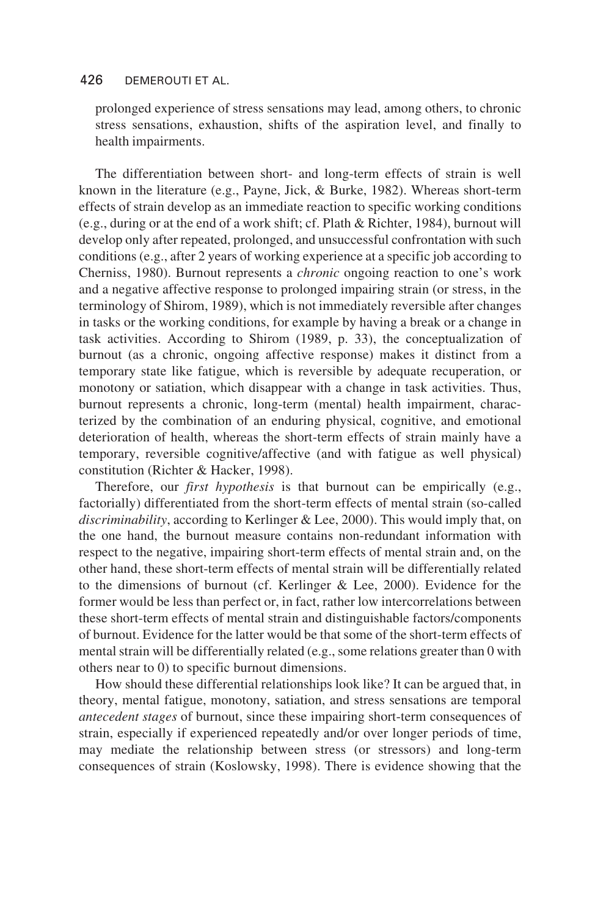prolonged experience of stress sensations may lead, among others, to chronic stress sensations, exhaustion, shifts of the aspiration level, and finally to health impairments.

The differentiation between short- and long-term effects of strain is well known in the literature (e.g., Payne, Jick, & Burke, 1982). Whereas short-term effects of strain develop as an immediate reaction to specific working conditions (e.g., during or at the end of a work shift; cf. Plath & Richter, 1984), burnout will develop only after repeated, prolonged, and unsuccessful confrontation with such conditions (e.g., after 2 years of working experience at a specific job according to Cherniss, 1980). Burnout represents a *chronic* ongoing reaction to one's work and a negative affective response to prolonged impairing strain (or stress, in the terminology of Shirom, 1989), which is not immediately reversible after changes in tasks or the working conditions, for example by having a break or a change in task activities. According to Shirom (1989, p. 33), the conceptualization of burnout (as a chronic, ongoing affective response) makes it distinct from a temporary state like fatigue, which is reversible by adequate recuperation, or monotony or satiation, which disappear with a change in task activities. Thus, burnout represents a chronic, long-term (mental) health impairment, characterized by the combination of an enduring physical, cognitive, and emotional deterioration of health, whereas the short-term effects of strain mainly have a temporary, reversible cognitive/affective (and with fatigue as well physical) constitution (Richter & Hacker, 1998).

Therefore, our *first hypothesis* is that burnout can be empirically (e.g., factorially) differentiated from the short-term effects of mental strain (so-called *discriminability*, according to Kerlinger & Lee, 2000). This would imply that, on the one hand, the burnout measure contains non-redundant information with respect to the negative, impairing short-term effects of mental strain and, on the other hand, these short-term effects of mental strain will be differentially related to the dimensions of burnout (cf. Kerlinger & Lee, 2000). Evidence for the former would be less than perfect or, in fact, rather low intercorrelations between these short-term effects of mental strain and distinguishable factors/components of burnout. Evidence for the latter would be that some of the short-term effects of mental strain will be differentially related (e.g., some relations greater than 0 with others near to 0) to specific burnout dimensions.

How should these differential relationships look like? It can be argued that, in theory, mental fatigue, monotony, satiation, and stress sensations are temporal *antecedent stages* of burnout, since these impairing short-term consequences of strain, especially if experienced repeatedly and/or over longer periods of time, may mediate the relationship between stress (or stressors) and long-term consequences of strain (Koslowsky, 1998). There is evidence showing that the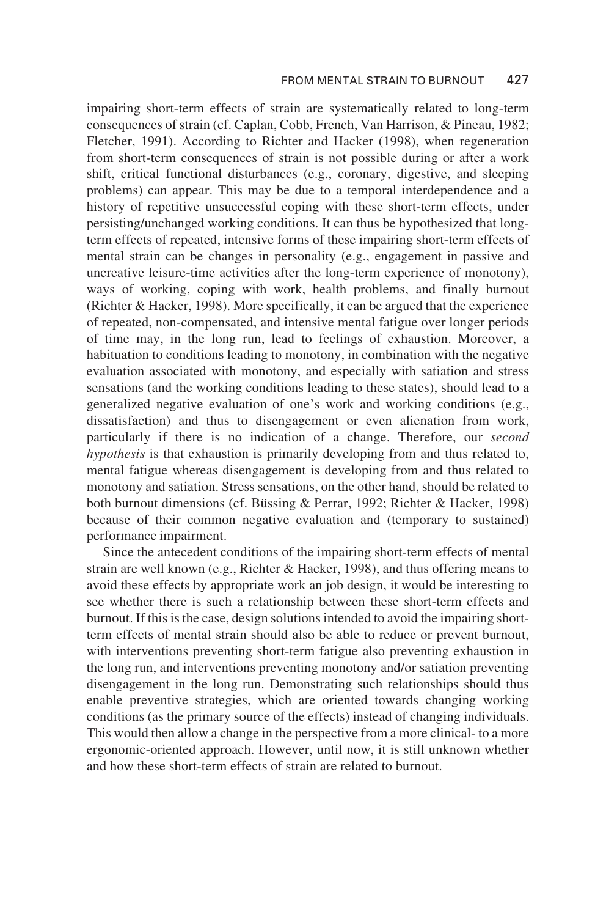impairing short-term effects of strain are systematically related to long-term consequences of strain (cf. Caplan, Cobb, French, Van Harrison, & Pineau, 1982; Fletcher, 1991). According to Richter and Hacker (1998), when regeneration from short-term consequences of strain is not possible during or after a work shift, critical functional disturbances (e.g., coronary, digestive, and sleeping problems) can appear. This may be due to a temporal interdependence and a history of repetitive unsuccessful coping with these short-term effects, under persisting/unchanged working conditions. It can thus be hypothesized that longterm effects of repeated, intensive forms of these impairing short-term effects of mental strain can be changes in personality (e.g., engagement in passive and uncreative leisure-time activities after the long-term experience of monotony), ways of working, coping with work, health problems, and finally burnout (Richter & Hacker, 1998). More specifically, it can be argued that the experience of repeated, non-compensated, and intensive mental fatigue over longer periods of time may, in the long run, lead to feelings of exhaustion. Moreover, a habituation to conditions leading to monotony, in combination with the negative evaluation associated with monotony, and especially with satiation and stress sensations (and the working conditions leading to these states), should lead to a generalized negative evaluation of one's work and working conditions (e.g., dissatisfaction) and thus to disengagement or even alienation from work, particularly if there is no indication of a change. Therefore, our *second hypothesis* is that exhaustion is primarily developing from and thus related to, mental fatigue whereas disengagement is developing from and thus related to monotony and satiation. Stress sensations, on the other hand, should be related to both burnout dimensions (cf. Büssing & Perrar, 1992; Richter & Hacker, 1998) because of their common negative evaluation and (temporary to sustained) performance impairment.

Since the antecedent conditions of the impairing short-term effects of mental strain are well known (e.g., Richter & Hacker, 1998), and thus offering means to avoid these effects by appropriate work an job design, it would be interesting to see whether there is such a relationship between these short-term effects and burnout. If this is the case, design solutions intended to avoid the impairing shortterm effects of mental strain should also be able to reduce or prevent burnout, with interventions preventing short-term fatigue also preventing exhaustion in the long run, and interventions preventing monotony and/or satiation preventing disengagement in the long run. Demonstrating such relationships should thus enable preventive strategies, which are oriented towards changing working conditions (as the primary source of the effects) instead of changing individuals. This would then allow a change in the perspective from a more clinical- to a more ergonomic-oriented approach. However, until now, it is still unknown whether and how these short-term effects of strain are related to burnout.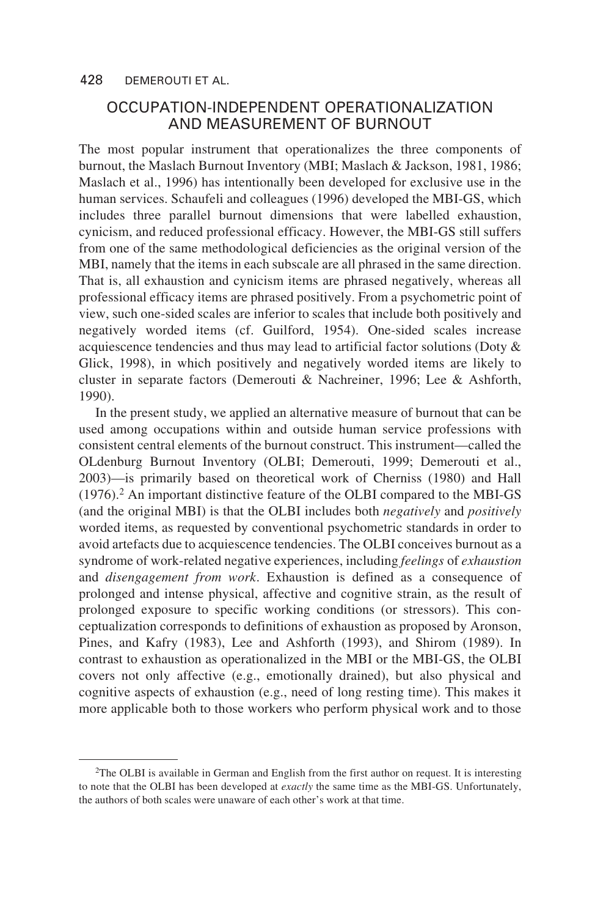# OCCUPATION-INDEPENDENT OPERATIONALIZATION AND MEASUREMENT OF BURNOUT

The most popular instrument that operationalizes the three components of burnout, the Maslach Burnout Inventory (MBI; Maslach & Jackson, 1981, 1986; Maslach et al., 1996) has intentionally been developed for exclusive use in the human services. Schaufeli and colleagues (1996) developed the MBI-GS, which includes three parallel burnout dimensions that were labelled exhaustion, cynicism, and reduced professional efficacy. However, the MBI-GS still suffers from one of the same methodological deficiencies as the original version of the MBI, namely that the items in each subscale are all phrased in the same direction. That is, all exhaustion and cynicism items are phrased negatively, whereas all professional efficacy items are phrased positively. From a psychometric point of view, such one-sided scales are inferior to scales that include both positively and negatively worded items (cf. Guilford, 1954). One-sided scales increase acquiescence tendencies and thus may lead to artificial factor solutions (Doty & Glick, 1998), in which positively and negatively worded items are likely to cluster in separate factors (Demerouti & Nachreiner, 1996; Lee & Ashforth, 1990).

In the present study, we applied an alternative measure of burnout that can be used among occupations within and outside human service professions with consistent central elements of the burnout construct. This instrument—called the OLdenburg Burnout Inventory (OLBI; Demerouti, 1999; Demerouti et al., 2003)—is primarily based on theoretical work of Cherniss (1980) and Hall  $(1976).$ <sup>2</sup> An important distinctive feature of the OLBI compared to the MBI-GS (and the original MBI) is that the OLBI includes both *negatively* and *positively* worded items, as requested by conventional psychometric standards in order to avoid artefacts due to acquiescence tendencies. The OLBI conceives burnout as a syndrome of work-related negative experiences, including *feelings* of *exhaustion* and *disengagement from work*. Exhaustion is defined as a consequence of prolonged and intense physical, affective and cognitive strain, as the result of prolonged exposure to specific working conditions (or stressors). This conceptualization corresponds to definitions of exhaustion as proposed by Aronson, Pines, and Kafry (1983), Lee and Ashforth (1993), and Shirom (1989). In contrast to exhaustion as operationalized in the MBI or the MBI-GS, the OLBI covers not only affective (e.g., emotionally drained), but also physical and cognitive aspects of exhaustion (e.g., need of long resting time). This makes it more applicable both to those workers who perform physical work and to those

<sup>2</sup>The OLBI is available in German and English from the first author on request. It is interesting to note that the OLBI has been developed at *exactly* the same time as the MBI-GS. Unfortunately, the authors of both scales were unaware of each other's work at that time.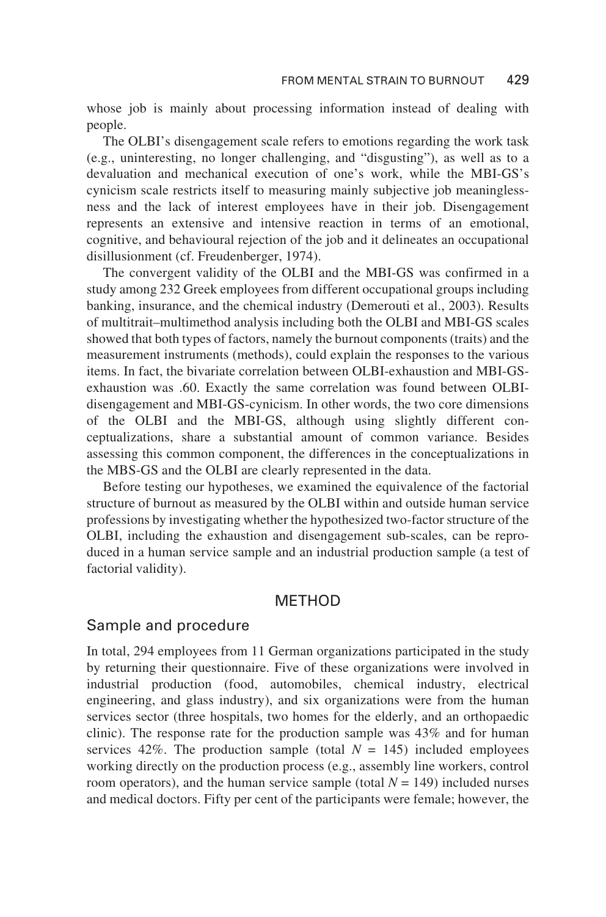whose job is mainly about processing information instead of dealing with people.

The OLBI's disengagement scale refers to emotions regarding the work task (e.g., uninteresting, no longer challenging, and "disgusting"), as well as to a devaluation and mechanical execution of one's work, while the MBI-GS's cynicism scale restricts itself to measuring mainly subjective job meaninglessness and the lack of interest employees have in their job. Disengagement represents an extensive and intensive reaction in terms of an emotional, cognitive, and behavioural rejection of the job and it delineates an occupational disillusionment (cf. Freudenberger, 1974).

The convergent validity of the OLBI and the MBI-GS was confirmed in a study among 232 Greek employees from different occupational groups including banking, insurance, and the chemical industry (Demerouti et al., 2003). Results of multitrait–multimethod analysis including both the OLBI and MBI-GS scales showed that both types of factors, namely the burnout components (traits) and the measurement instruments (methods), could explain the responses to the various items. In fact, the bivariate correlation between OLBI-exhaustion and MBI-GSexhaustion was .60. Exactly the same correlation was found between OLBIdisengagement and MBI-GS-cynicism. In other words, the two core dimensions of the OLBI and the MBI-GS, although using slightly different conceptualizations, share a substantial amount of common variance. Besides assessing this common component, the differences in the conceptualizations in the MBS-GS and the OLBI are clearly represented in the data.

Before testing our hypotheses, we examined the equivalence of the factorial structure of burnout as measured by the OLBI within and outside human service professions by investigating whether the hypothesized two-factor structure of the OLBI, including the exhaustion and disengagement sub-scales, can be reproduced in a human service sample and an industrial production sample (a test of factorial validity).

### METHOD

### Sample and procedure

In total, 294 employees from 11 German organizations participated in the study by returning their questionnaire. Five of these organizations were involved in industrial production (food, automobiles, chemical industry, electrical engineering, and glass industry), and six organizations were from the human services sector (three hospitals, two homes for the elderly, and an orthopaedic clinic). The response rate for the production sample was 43% and for human services  $42\%$ . The production sample (total  $N = 145$ ) included employees working directly on the production process (e.g., assembly line workers, control room operators), and the human service sample (total  $N = 149$ ) included nurses and medical doctors. Fifty per cent of the participants were female; however, the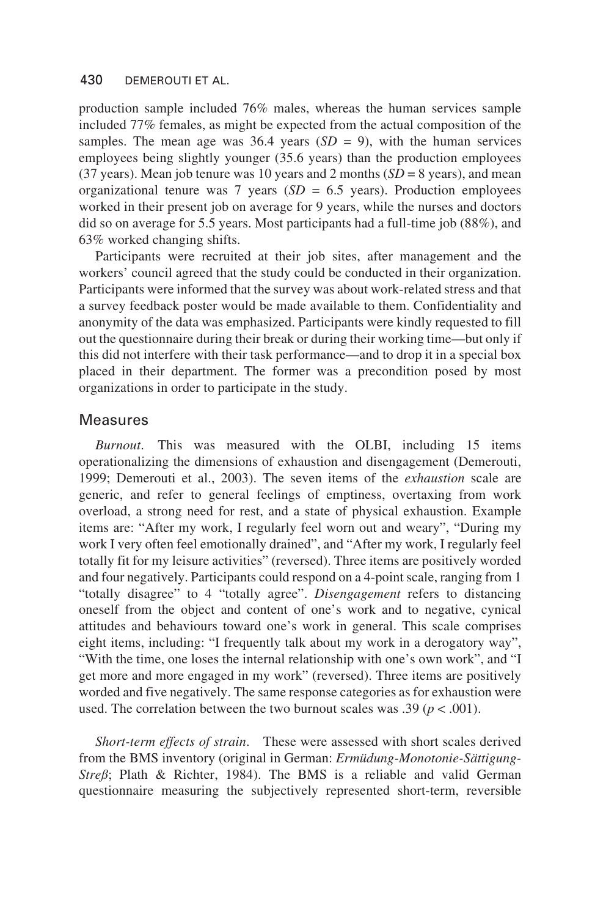production sample included 76% males, whereas the human services sample included 77% females, as might be expected from the actual composition of the samples. The mean age was  $36.4$  years  $(SD = 9)$ , with the human services employees being slightly younger (35.6 years) than the production employees (37 years). Mean job tenure was 10 years and 2 months (*SD* = 8 years), and mean organizational tenure was 7 years  $(SD = 6.5$  years). Production employees worked in their present job on average for 9 years, while the nurses and doctors did so on average for 5.5 years. Most participants had a full-time job (88%), and 63% worked changing shifts.

Participants were recruited at their job sites, after management and the workers' council agreed that the study could be conducted in their organization. Participants were informed that the survey was about work-related stress and that a survey feedback poster would be made available to them. Confidentiality and anonymity of the data was emphasized. Participants were kindly requested to fill out the questionnaire during their break or during their working time—but only if this did not interfere with their task performance—and to drop it in a special box placed in their department. The former was a precondition posed by most organizations in order to participate in the study.

### Measures

*Burnout*. This was measured with the OLBI, including 15 items operationalizing the dimensions of exhaustion and disengagement (Demerouti, 1999; Demerouti et al., 2003). The seven items of the *exhaustion* scale are generic, and refer to general feelings of emptiness, overtaxing from work overload, a strong need for rest, and a state of physical exhaustion. Example items are: "After my work, I regularly feel worn out and weary", "During my work I very often feel emotionally drained", and "After my work, I regularly feel totally fit for my leisure activities" (reversed). Three items are positively worded and four negatively. Participants could respond on a 4-point scale, ranging from 1 "totally disagree" to 4 "totally agree". *Disengagement* refers to distancing oneself from the object and content of one's work and to negative, cynical attitudes and behaviours toward one's work in general. This scale comprises eight items, including: "I frequently talk about my work in a derogatory way", "With the time, one loses the internal relationship with one's own work", and "I get more and more engaged in my work" (reversed). Three items are positively worded and five negatively. The same response categories as for exhaustion were used. The correlation between the two burnout scales was .39 ( $p < .001$ ).

*Short-term effects of strain*. These were assessed with short scales derived from the BMS inventory (original in German: *Ermüdung-Monotonie-Sättigung-Streß*; Plath & Richter, 1984). The BMS is a reliable and valid German questionnaire measuring the subjectively represented short-term, reversible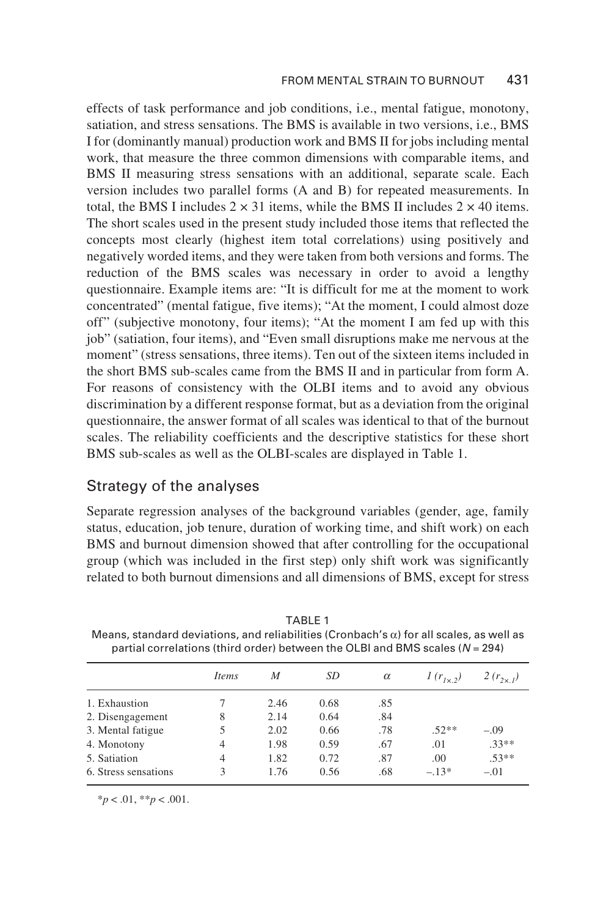effects of task performance and job conditions, i.e., mental fatigue, monotony, satiation, and stress sensations. The BMS is available in two versions, i.e., BMS I for (dominantly manual) production work and BMS II for jobs including mental work, that measure the three common dimensions with comparable items, and BMS II measuring stress sensations with an additional, separate scale. Each version includes two parallel forms (A and B) for repeated measurements. In total, the BMS I includes  $2 \times 31$  items, while the BMS II includes  $2 \times 40$  items. The short scales used in the present study included those items that reflected the concepts most clearly (highest item total correlations) using positively and negatively worded items, and they were taken from both versions and forms. The reduction of the BMS scales was necessary in order to avoid a lengthy questionnaire. Example items are: "It is difficult for me at the moment to work concentrated" (mental fatigue, five items); "At the moment, I could almost doze off" (subjective monotony, four items); "At the moment I am fed up with this job" (satiation, four items), and "Even small disruptions make me nervous at the moment" (stress sensations, three items). Ten out of the sixteen items included in the short BMS sub-scales came from the BMS II and in particular from form A. For reasons of consistency with the OLBI items and to avoid any obvious discrimination by a different response format, but as a deviation from the original questionnaire, the answer format of all scales was identical to that of the burnout scales. The reliability coefficients and the descriptive statistics for these short BMS sub-scales as well as the OLBI-scales are displayed in Table 1.

# Strategy of the analyses

Separate regression analyses of the background variables (gender, age, family status, education, job tenure, duration of working time, and shift work) on each BMS and burnout dimension showed that after controlling for the occupational group (which was included in the first step) only shift work was significantly related to both burnout dimensions and all dimensions of BMS, except for stress

|                      | <i>Items</i>   | M    | SD   | $\alpha$ | $I(r_{1}, r_{2})$ | $2 (r_{2y})$ |
|----------------------|----------------|------|------|----------|-------------------|--------------|
| 1. Exhaustion        |                | 2.46 | 0.68 | .85      |                   |              |
| 2. Disengagement     | 8              | 2.14 | 0.64 | .84      |                   |              |
| 3. Mental fatigue    |                | 2.02 | 0.66 | .78      | $.52**$           | $-.09$       |
| 4. Monotony          | $\overline{4}$ | 1.98 | 0.59 | .67      | .01               | $.33**$      |
| 5. Satiation         | 4              | 1.82 | 0.72 | .87      | .00               | $.53**$      |
| 6. Stress sensations | 3              | 1.76 | 0.56 | .68      | $-.13*$           | $-.01$       |

TABLE 1 Means, standard deviations, and reliabilities (Cronbach's  $\alpha$ ) for all scales, as well as partial correlations (third order) between the OLBI and BMS scales ( $N = 294$ )

 $**p* < .01, ***p* < .001.$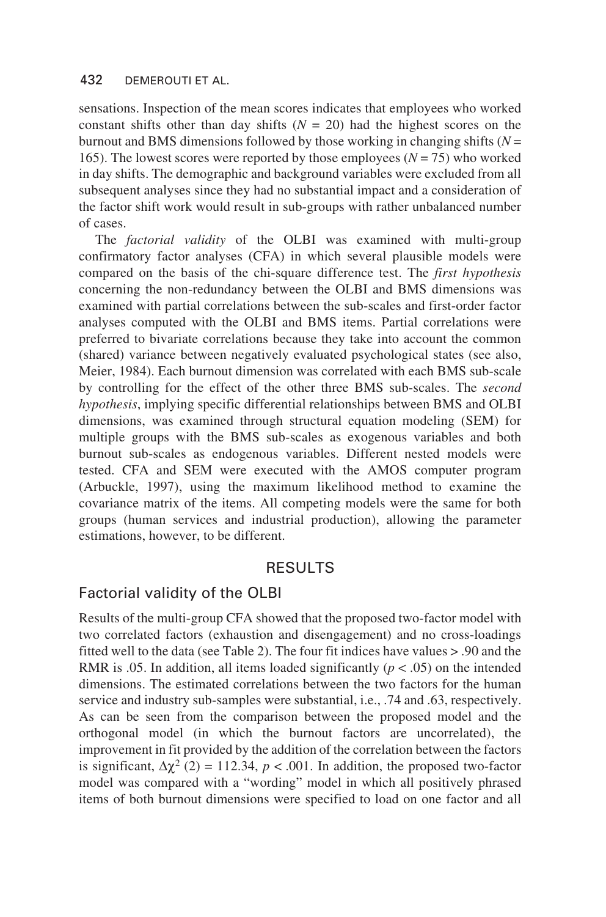sensations. Inspection of the mean scores indicates that employees who worked constant shifts other than day shifts  $(N = 20)$  had the highest scores on the burnout and BMS dimensions followed by those working in changing shifts (*N* = 165). The lowest scores were reported by those employees (*N* = 75) who worked in day shifts. The demographic and background variables were excluded from all subsequent analyses since they had no substantial impact and a consideration of the factor shift work would result in sub-groups with rather unbalanced number of cases.

The *factorial validity* of the OLBI was examined with multi-group confirmatory factor analyses (CFA) in which several plausible models were compared on the basis of the chi-square difference test. The *first hypothesis* concerning the non-redundancy between the OLBI and BMS dimensions was examined with partial correlations between the sub-scales and first-order factor analyses computed with the OLBI and BMS items. Partial correlations were preferred to bivariate correlations because they take into account the common (shared) variance between negatively evaluated psychological states (see also, Meier, 1984). Each burnout dimension was correlated with each BMS sub-scale by controlling for the effect of the other three BMS sub-scales. The *second hypothesis*, implying specific differential relationships between BMS and OLBI dimensions, was examined through structural equation modeling (SEM) for multiple groups with the BMS sub-scales as exogenous variables and both burnout sub-scales as endogenous variables. Different nested models were tested. CFA and SEM were executed with the AMOS computer program (Arbuckle, 1997), using the maximum likelihood method to examine the covariance matrix of the items. All competing models were the same for both groups (human services and industrial production), allowing the parameter estimations, however, to be different.

## RESULTS

## Factorial validity of the OLBI

Results of the multi-group CFA showed that the proposed two-factor model with two correlated factors (exhaustion and disengagement) and no cross-loadings fitted well to the data (see Table 2). The four fit indices have values > .90 and the RMR is .05. In addition, all items loaded significantly ( $p < .05$ ) on the intended dimensions. The estimated correlations between the two factors for the human service and industry sub-samples were substantial, i.e., .74 and .63, respectively. As can be seen from the comparison between the proposed model and the orthogonal model (in which the burnout factors are uncorrelated), the improvement in fit provided by the addition of the correlation between the factors is significant,  $\Delta \chi^2$  (2) = 112.34, *p* < .001. In addition, the proposed two-factor model was compared with a "wording" model in which all positively phrased items of both burnout dimensions were specified to load on one factor and all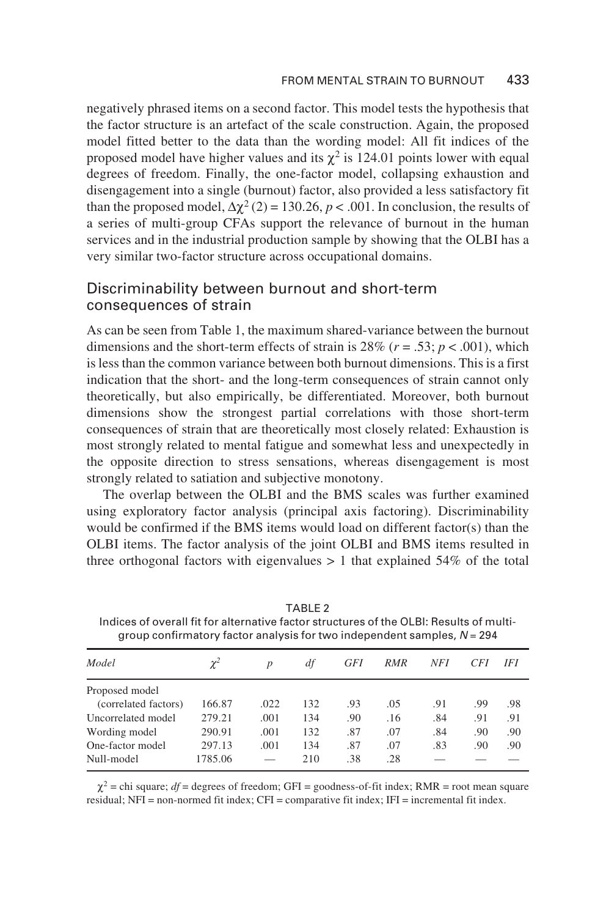negatively phrased items on a second factor. This model tests the hypothesis that the factor structure is an artefact of the scale construction. Again, the proposed model fitted better to the data than the wording model: All fit indices of the proposed model have higher values and its  $\chi^2$  is 124.01 points lower with equal degrees of freedom. Finally, the one-factor model, collapsing exhaustion and disengagement into a single (burnout) factor, also provided a less satisfactory fit than the proposed model,  $\Delta \chi^2$  (2) = 130.26, *p* < .001. In conclusion, the results of a series of multi-group CFAs support the relevance of burnout in the human services and in the industrial production sample by showing that the OLBI has a very similar two-factor structure across occupational domains.

# Discriminability between burnout and short-term consequences of strain

As can be seen from Table 1, the maximum shared-variance between the burnout dimensions and the short-term effects of strain is  $28\%$  ( $r = .53$ ;  $p < .001$ ), which is less than the common variance between both burnout dimensions. This is a first indication that the short- and the long-term consequences of strain cannot only theoretically, but also empirically, be differentiated. Moreover, both burnout dimensions show the strongest partial correlations with those short-term consequences of strain that are theoretically most closely related: Exhaustion is most strongly related to mental fatigue and somewhat less and unexpectedly in the opposite direction to stress sensations, whereas disengagement is most strongly related to satiation and subjective monotony.

The overlap between the OLBI and the BMS scales was further examined using exploratory factor analysis (principal axis factoring). Discriminability would be confirmed if the BMS items would load on different factor(s) than the OLBI items. The factor analysis of the joint OLBI and BMS items resulted in three orthogonal factors with eigenvalues  $> 1$  that explained 54% of the total

| group confirmatory factor analysis for two independent samples, $N = 294$ |          |                  |     |                  |            |     |     |     |
|---------------------------------------------------------------------------|----------|------------------|-----|------------------|------------|-----|-----|-----|
| Model                                                                     | $\chi^2$ | $\boldsymbol{p}$ | df  | GFI              | <i>RMR</i> | NFI | CF1 | IFI |
| Proposed model                                                            |          |                  |     |                  |            |     |     |     |
| (correlated factors)                                                      | 166.87   | .022             | 132 | .93              | .05        | .91 | .99 | .98 |
| Uncorrelated model                                                        | 279.21   | .001             | 134 | .90 <sub>1</sub> | .16        | .84 | .91 | .91 |
| Wording model                                                             | 290.91   | .001             | 132 | .87              | .07        | .84 | .90 | .90 |
| One-factor model                                                          | 297.13   | .001             | 134 | .87              | .07        | .83 | .90 | .90 |
| Null-model                                                                | 1785.06  |                  | 210 | .38              | .28        |     |     |     |

TABLE 2 Indices of overall fit for alternative factor structures of the OLBI: Results of multigroup confirmatory factor analysis for two independent samples, N = 294

 $\chi^2$  = chi square; *df* = degrees of freedom; GFI = goodness-of-fit index; RMR = root mean square residual; NFI = non-normed fit index; CFI = comparative fit index; IFI = incremental fit index.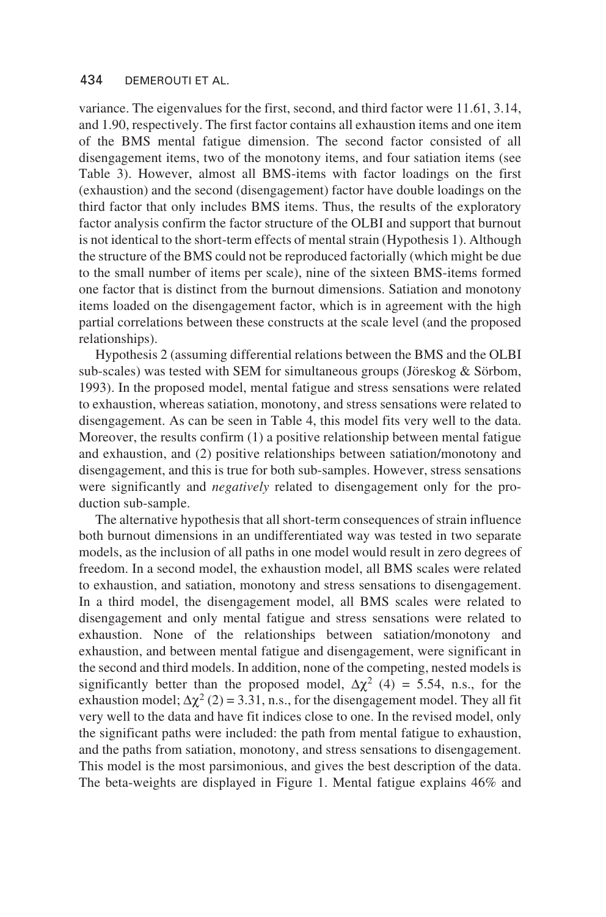variance. The eigenvalues for the first, second, and third factor were 11.61, 3.14, and 1.90, respectively. The first factor contains all exhaustion items and one item of the BMS mental fatigue dimension. The second factor consisted of all disengagement items, two of the monotony items, and four satiation items (see Table 3). However, almost all BMS-items with factor loadings on the first (exhaustion) and the second (disengagement) factor have double loadings on the third factor that only includes BMS items. Thus, the results of the exploratory factor analysis confirm the factor structure of the OLBI and support that burnout is not identical to the short-term effects of mental strain (Hypothesis 1). Although the structure of the BMS could not be reproduced factorially (which might be due to the small number of items per scale), nine of the sixteen BMS-items formed one factor that is distinct from the burnout dimensions. Satiation and monotony items loaded on the disengagement factor, which is in agreement with the high partial correlations between these constructs at the scale level (and the proposed relationships).

Hypothesis 2 (assuming differential relations between the BMS and the OLBI sub-scales) was tested with SEM for simultaneous groups (Jöreskog & Sörbom, 1993). In the proposed model, mental fatigue and stress sensations were related to exhaustion, whereas satiation, monotony, and stress sensations were related to disengagement. As can be seen in Table 4, this model fits very well to the data. Moreover, the results confirm (1) a positive relationship between mental fatigue and exhaustion, and (2) positive relationships between satiation/monotony and disengagement, and this is true for both sub-samples. However, stress sensations were significantly and *negatively* related to disengagement only for the production sub-sample.

The alternative hypothesis that all short-term consequences of strain influence both burnout dimensions in an undifferentiated way was tested in two separate models, as the inclusion of all paths in one model would result in zero degrees of freedom. In a second model, the exhaustion model, all BMS scales were related to exhaustion, and satiation, monotony and stress sensations to disengagement. In a third model, the disengagement model, all BMS scales were related to disengagement and only mental fatigue and stress sensations were related to exhaustion. None of the relationships between satiation/monotony and exhaustion, and between mental fatigue and disengagement, were significant in the second and third models. In addition, none of the competing, nested models is significantly better than the proposed model,  $\Delta \chi^2$  (4) = 5.54, n.s., for the exhaustion model;  $\Delta \chi^2$  (2) = 3.31, n.s., for the disengagement model. They all fit very well to the data and have fit indices close to one. In the revised model, only the significant paths were included: the path from mental fatigue to exhaustion, and the paths from satiation, monotony, and stress sensations to disengagement. This model is the most parsimonious, and gives the best description of the data. The beta-weights are displayed in Figure 1. Mental fatigue explains 46% and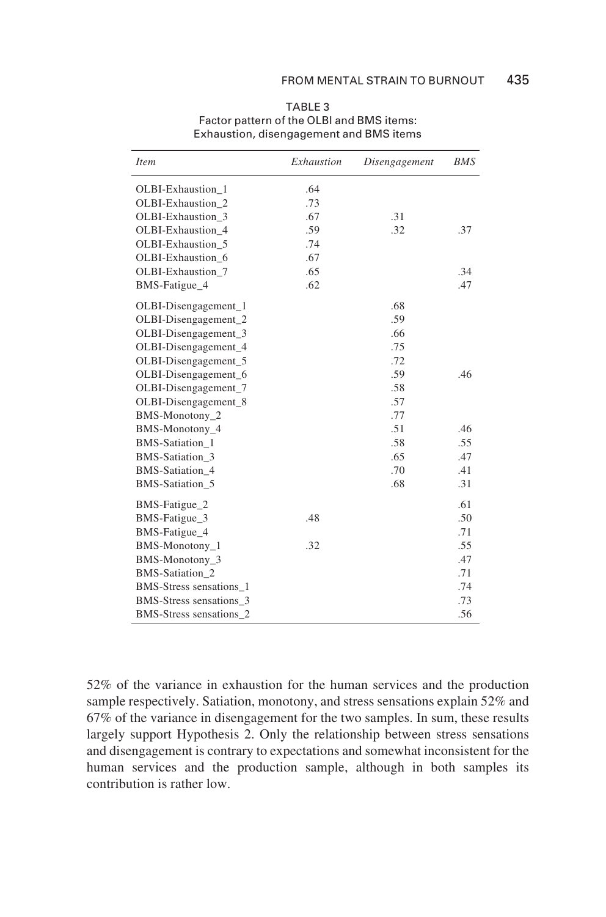| <i>Item</i>             | Exhaustion | Disengagement | BMS |
|-------------------------|------------|---------------|-----|
| OLBI-Exhaustion_1       | .64        |               |     |
| OLBI-Exhaustion 2       | .73        |               |     |
| OLBI-Exhaustion 3       | .67        | .31           |     |
| OLBI-Exhaustion 4       | .59        | .32           | .37 |
| OLBI-Exhaustion 5       | .74        |               |     |
| OLBI-Exhaustion 6       | .67        |               |     |
| OLBI-Exhaustion_7       | .65        |               | .34 |
| BMS-Fatigue_4           | .62        |               | .47 |
| OLBI-Disengagement_1    |            | .68           |     |
| OLBI-Disengagement_2    |            | .59           |     |
| OLBI-Disengagement_3    |            | .66           |     |
| OLBI-Disengagement_4    |            | .75           |     |
| OLBI-Disengagement_5    |            | .72           |     |
| OLBI-Disengagement_6    |            | .59           | 46  |
| OLBI-Disengagement_7    |            | .58           |     |
| OLBI-Disengagement_8    |            | .57           |     |
| BMS-Monotony_2          |            | .77           |     |
| BMS-Monotony_4          |            | .51           | .46 |
| <b>BMS-Satiation 1</b>  |            | .58           | .55 |
| BMS-Satiation 3         |            | .65           | .47 |
| BMS-Satiation 4         |            | .70           | .41 |
| BMS-Satiation 5         |            | .68           | .31 |
| BMS-Fatigue_2           |            |               | .61 |
| BMS-Fatigue_3           | .48        |               | .50 |
| BMS-Fatigue_4           |            |               | .71 |
| BMS-Monotony_1          | .32        |               | .55 |
| BMS-Monotony_3          |            |               | .47 |
| BMS-Satiation 2         |            |               | .71 |
| BMS-Stress sensations 1 |            |               | .74 |
| BMS-Stress sensations 3 |            |               | .73 |
| BMS-Stress sensations 2 |            |               | .56 |

TABLE 3 Factor pattern of the OLBI and BMS items: Exhaustion, disengagement and BMS items

52% of the variance in exhaustion for the human services and the production sample respectively. Satiation, monotony, and stress sensations explain 52% and 67% of the variance in disengagement for the two samples. In sum, these results largely support Hypothesis 2. Only the relationship between stress sensations and disengagement is contrary to expectations and somewhat inconsistent for the human services and the production sample, although in both samples its contribution is rather low.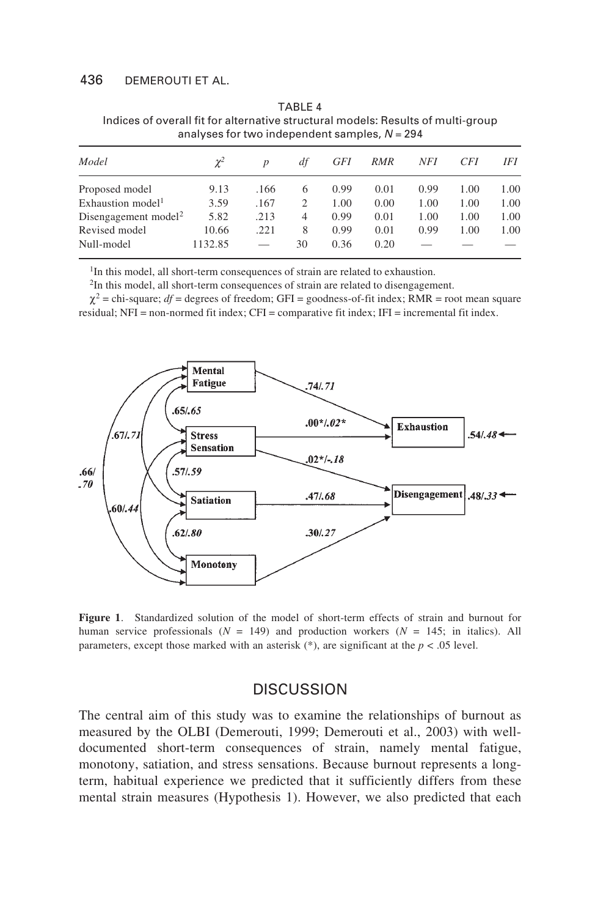| Model                            | $\gamma^2$ |      | df | GFI  | <i>RMR</i> | NFI  | CFI  | IFI  |
|----------------------------------|------------|------|----|------|------------|------|------|------|
| Proposed model                   | 9.13       | .166 | 6  | 0.99 | 0.01       | 0.99 | 1.00 | 1.00 |
| Exhaustion model <sup>1</sup>    | 3.59       | .167 | 2  | 1.00 | 0.00       | 1.00 | 1.00 | 1.00 |
| Disengagement model <sup>2</sup> | 5.82       | .213 | 4  | 0.99 | 0.01       | 1.00 | 1.00 | 1.00 |
| Revised model                    | 10.66      | .221 | 8  | 0.99 | 0.01       | 0.99 | 1.00 | 1.00 |
| Null-model                       | 1132.85    |      | 30 | 0.36 | 0.20       |      |      |      |

| TABIF4                                                                           |
|----------------------------------------------------------------------------------|
| Indices of overall fit for alternative structural models: Results of multi-group |
| analyses for two independent samples, $N = 294$                                  |

<sup>1</sup>In this model, all short-term consequences of strain are related to exhaustion.

2In this model, all short-term consequences of strain are related to disengagement.

 $\gamma^2$  = chi-square; *df* = degrees of freedom; GFI = goodness-of-fit index; RMR = root mean square residual; NFI = non-normed fit index; CFI = comparative fit index; IFI = incremental fit index.



**Figure 1**. Standardized solution of the model of short-term effects of strain and burnout for human service professionals  $(N = 149)$  and production workers  $(N = 145)$ ; in italics). All parameters, except those marked with an asterisk  $(*)$ , are significant at the  $p < .05$  level.

# **DISCUSSION**

The central aim of this study was to examine the relationships of burnout as measured by the OLBI (Demerouti, 1999; Demerouti et al., 2003) with welldocumented short-term consequences of strain, namely mental fatigue, monotony, satiation, and stress sensations. Because burnout represents a longterm, habitual experience we predicted that it sufficiently differs from these mental strain measures (Hypothesis 1). However, we also predicted that each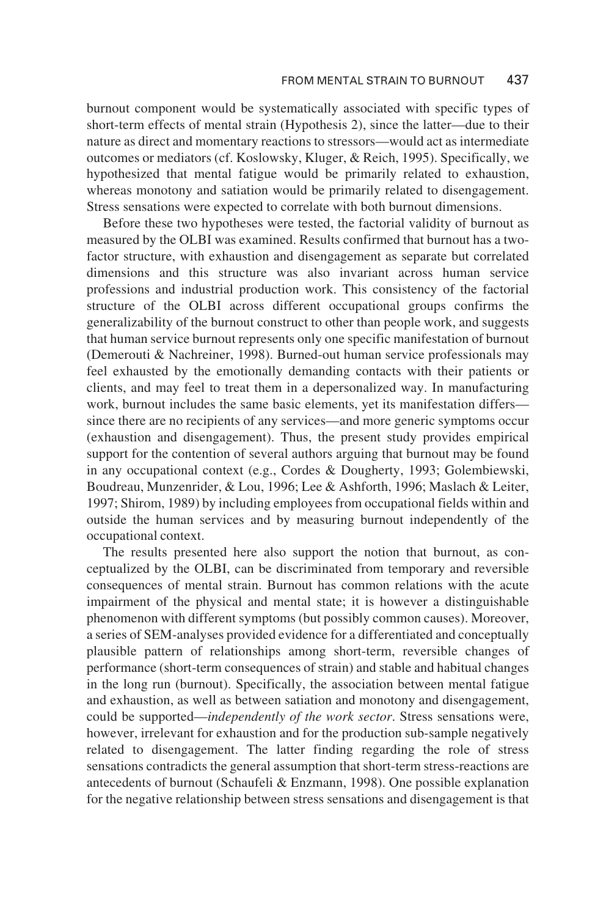burnout component would be systematically associated with specific types of short-term effects of mental strain (Hypothesis 2), since the latter—due to their nature as direct and momentary reactions to stressors—would act as intermediate outcomes or mediators (cf. Koslowsky, Kluger, & Reich, 1995). Specifically, we hypothesized that mental fatigue would be primarily related to exhaustion, whereas monotony and satiation would be primarily related to disengagement. Stress sensations were expected to correlate with both burnout dimensions.

Before these two hypotheses were tested, the factorial validity of burnout as measured by the OLBI was examined. Results confirmed that burnout has a twofactor structure, with exhaustion and disengagement as separate but correlated dimensions and this structure was also invariant across human service professions and industrial production work. This consistency of the factorial structure of the OLBI across different occupational groups confirms the generalizability of the burnout construct to other than people work, and suggests that human service burnout represents only one specific manifestation of burnout (Demerouti & Nachreiner, 1998). Burned-out human service professionals may feel exhausted by the emotionally demanding contacts with their patients or clients, and may feel to treat them in a depersonalized way. In manufacturing work, burnout includes the same basic elements, yet its manifestation differs since there are no recipients of any services—and more generic symptoms occur (exhaustion and disengagement). Thus, the present study provides empirical support for the contention of several authors arguing that burnout may be found in any occupational context (e.g., Cordes & Dougherty, 1993; Golembiewski, Boudreau, Munzenrider, & Lou, 1996; Lee & Ashforth, 1996; Maslach & Leiter, 1997; Shirom, 1989) by including employees from occupational fields within and outside the human services and by measuring burnout independently of the occupational context.

The results presented here also support the notion that burnout, as conceptualized by the OLBI, can be discriminated from temporary and reversible consequences of mental strain. Burnout has common relations with the acute impairment of the physical and mental state; it is however a distinguishable phenomenon with different symptoms (but possibly common causes). Moreover, a series of SEM-analyses provided evidence for a differentiated and conceptually plausible pattern of relationships among short-term, reversible changes of performance (short-term consequences of strain) and stable and habitual changes in the long run (burnout). Specifically, the association between mental fatigue and exhaustion, as well as between satiation and monotony and disengagement, could be supported—*independently of the work sector*. Stress sensations were, however, irrelevant for exhaustion and for the production sub-sample negatively related to disengagement. The latter finding regarding the role of stress sensations contradicts the general assumption that short-term stress-reactions are antecedents of burnout (Schaufeli & Enzmann, 1998). One possible explanation for the negative relationship between stress sensations and disengagement is that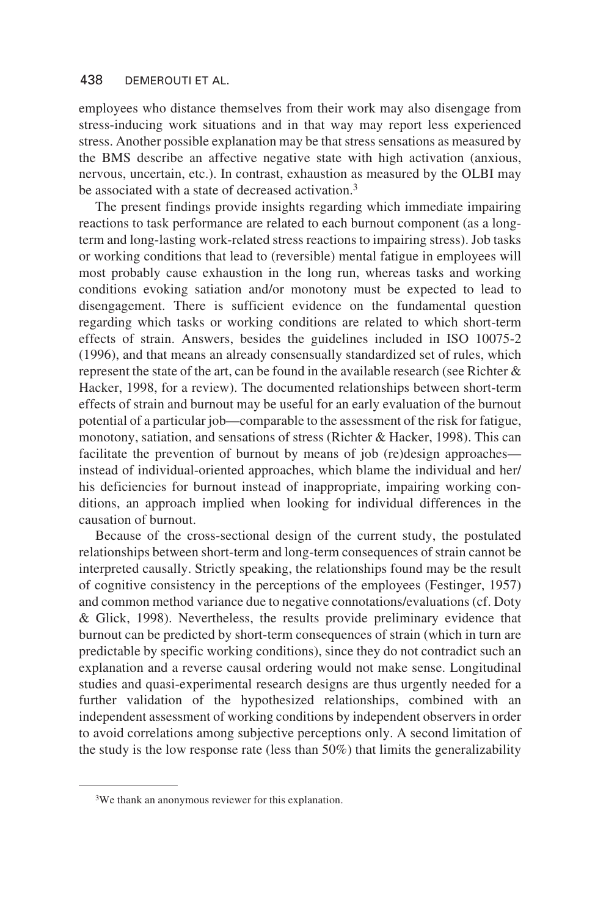employees who distance themselves from their work may also disengage from stress-inducing work situations and in that way may report less experienced stress. Another possible explanation may be that stress sensations as measured by the BMS describe an affective negative state with high activation (anxious, nervous, uncertain, etc.). In contrast, exhaustion as measured by the OLBI may be associated with a state of decreased activation.<sup>3</sup>

The present findings provide insights regarding which immediate impairing reactions to task performance are related to each burnout component (as a longterm and long-lasting work-related stress reactions to impairing stress). Job tasks or working conditions that lead to (reversible) mental fatigue in employees will most probably cause exhaustion in the long run, whereas tasks and working conditions evoking satiation and/or monotony must be expected to lead to disengagement. There is sufficient evidence on the fundamental question regarding which tasks or working conditions are related to which short-term effects of strain. Answers, besides the guidelines included in ISO 10075-2 (1996), and that means an already consensually standardized set of rules, which represent the state of the art, can be found in the available research (see Richter & Hacker, 1998, for a review). The documented relationships between short-term effects of strain and burnout may be useful for an early evaluation of the burnout potential of a particular job—comparable to the assessment of the risk for fatigue, monotony, satiation, and sensations of stress (Richter & Hacker, 1998). This can facilitate the prevention of burnout by means of job (re)design approaches instead of individual-oriented approaches, which blame the individual and her/ his deficiencies for burnout instead of inappropriate, impairing working conditions, an approach implied when looking for individual differences in the causation of burnout.

Because of the cross-sectional design of the current study, the postulated relationships between short-term and long-term consequences of strain cannot be interpreted causally. Strictly speaking, the relationships found may be the result of cognitive consistency in the perceptions of the employees (Festinger, 1957) and common method variance due to negative connotations/evaluations (cf. Doty & Glick, 1998). Nevertheless, the results provide preliminary evidence that burnout can be predicted by short-term consequences of strain (which in turn are predictable by specific working conditions), since they do not contradict such an explanation and a reverse causal ordering would not make sense. Longitudinal studies and quasi-experimental research designs are thus urgently needed for a further validation of the hypothesized relationships, combined with an independent assessment of working conditions by independent observers in order to avoid correlations among subjective perceptions only. A second limitation of the study is the low response rate (less than  $50\%$ ) that limits the generalizability

<sup>3</sup>We thank an anonymous reviewer for this explanation.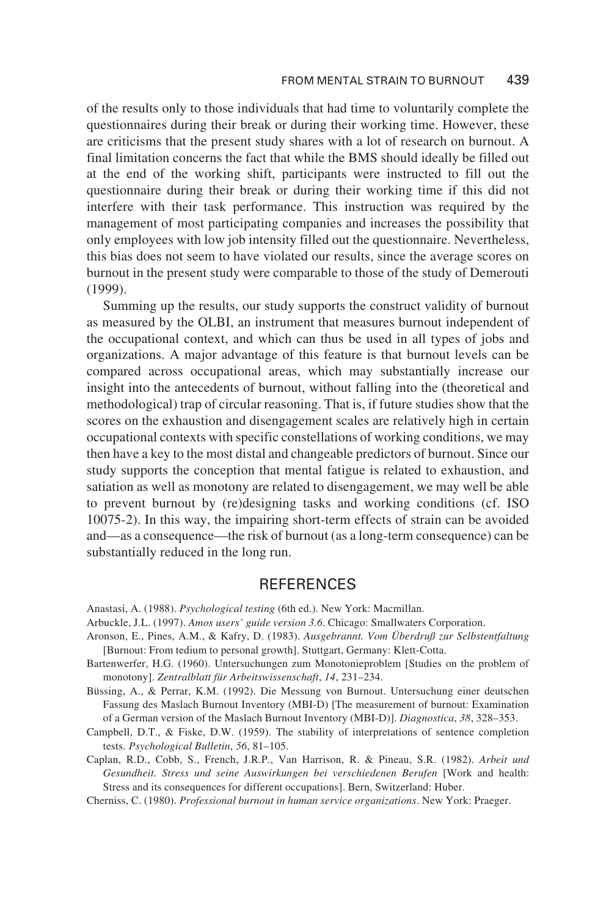of the results only to those individuals that had time to voluntarily complete the questionnaires during their break or during their working time. However, these are criticisms that the present study shares with a lot of research on burnout. A final limitation concerns the fact that while the BMS should ideally be filled out at the end of the working shift, participants were instructed to fill out the questionnaire during their break or during their working time if this did not interfere with their task performance. This instruction was required by the management of most participating companies and increases the possibility that only employees with low job intensity filled out the questionnaire. Nevertheless, this bias does not seem to have violated our results, since the average scores on burnout in the present study were comparable to those of the study of Demerouti (1999).

Summing up the results, our study supports the construct validity of burnout as measured by the OLBI, an instrument that measures burnout independent of the occupational context, and which can thus be used in all types of jobs and organizations. A major advantage of this feature is that burnout levels can be compared across occupational areas, which may substantially increase our insight into the antecedents of burnout, without falling into the (theoretical and methodological) trap of circular reasoning. That is, if future studies show that the scores on the exhaustion and disengagement scales are relatively high in certain occupational contexts with specific constellations of working conditions, we may then have a key to the most distal and changeable predictors of burnout. Since our study supports the conception that mental fatigue is related to exhaustion, and satiation as well as monotony are related to disengagement, we may well be able to prevent burnout by (re)designing tasks and working conditions (cf. ISO 10075-2). In this way, the impairing short-term effects of strain can be avoided and—as a consequence—the risk of burnout (as a long-term consequence) can be substantially reduced in the long run.

### REFERENCES

- Anastasi, A. (1988). *Psychological testing* (6th ed.). New York: Macmillan.
- Arbuckle, J.L. (1997). *Amos users' guide version 3.6*. Chicago: Smallwaters Corporation.
- Aronson, E., Pines, A.M., & Kafry, D. (1983). *Ausgebrannt. Vom Überdruß zur Selbstentfaltung* [Burnout: From tedium to personal growth]. Stuttgart, Germany: Klett-Cotta.
- Bartenwerfer, H.G. (1960). Untersuchungen zum Monotonieproblem [Studies on the problem of monotony]. *Zentralblatt für Arbeitswissenschaft*, *14*, 231–234.
- Büssing, A., & Perrar, K.M. (1992). Die Messung von Burnout. Untersuchung einer deutschen Fassung des Maslach Burnout Inventory (MBI-D) [The measurement of burnout: Examination of a German version of the Maslach Burnout Inventory (MBI-D)]. *Diagnostica*, *38*, 328–353.
- Campbell, D.T., & Fiske, D.W. (1959). The stability of interpretations of sentence completion tests. *Psychological Bulletin*, *56*, 81–105.

Caplan, R.D., Cobb, S., French, J.R.P., Van Harrison, R. & Pineau, S.R. (1982). *Arbeit und Gesundheit. Stress und seine Auswirkungen bei verschiedenen Berufen* [Work and health: Stress and its consequences for different occupations]. Bern, Switzerland: Huber.

Cherniss, C. (1980). *Professional burnout in human service organizations*. New York: Praeger.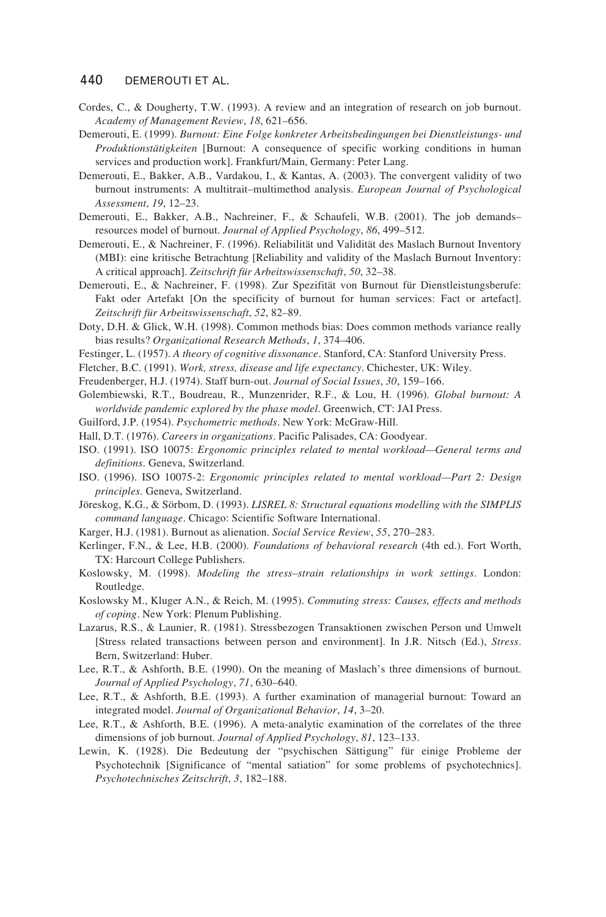- Cordes, C., & Dougherty, T.W. (1993). A review and an integration of research on job burnout. *Academy of Management Review*, *18*, 621–656.
- Demerouti, E. (1999). *Burnout: Eine Folge konkreter Arbeitsbedingungen bei Dienstleistungs- und Produktionstätigkeiten* [Burnout: A consequence of specific working conditions in human services and production work]. Frankfurt/Main, Germany: Peter Lang.
- Demerouti, E., Bakker, A.B., Vardakou, I., & Kantas, A. (2003). The convergent validity of two burnout instruments: A multitrait–multimethod analysis. *European Journal of Psychological Assessment*, *19*, 12–23.
- Demerouti, E., Bakker, A.B., Nachreiner, F., & Schaufeli, W.B. (2001). The job demands– resources model of burnout. *Journal of Applied Psychology*, *86*, 499–512.
- Demerouti, E., & Nachreiner, F. (1996). Reliabilität und Validität des Maslach Burnout Inventory (MBI): eine kritische Betrachtung [Reliability and validity of the Maslach Burnout Inventory: A critical approach]. *Zeitschrift für Arbeitswissenschaft*, *50*, 32–38.
- Demerouti, E., & Nachreiner, F. (1998). Zur Spezifität von Burnout für Dienstleistungsberufe: Fakt oder Artefakt [On the specificity of burnout for human services: Fact or artefact]. *Zeitschrift für Arbeitswissenschaft*, *52*, 82–89.
- Doty, D.H. & Glick, W.H. (1998). Common methods bias: Does common methods variance really bias results? *Organizational Research Methods*, *1*, 374–406.
- Festinger, L. (1957). *A theory of cognitive dissonance*. Stanford, CA: Stanford University Press.
- Fletcher, B.C. (1991). *Work, stress, disease and life expectancy*. Chichester, UK: Wiley.
- Freudenberger, H.J. (1974). Staff burn-out. *Journal of Social Issues*, *30*, 159–166.
- Golembiewski, R.T., Boudreau, R., Munzenrider, R.F., & Lou, H. (1996). *Global burnout: A worldwide pandemic explored by the phase model*. Greenwich, CT: JAI Press.
- Guilford, J.P. (1954). *Psychometric methods*. New York: McGraw-Hill.
- Hall, D.T. (1976). *Careers in organizations*. Pacific Palisades, CA: Goodyear.
- ISO. (1991). ISO 10075: *Ergonomic principles related to mental workload—General terms and definitions*. Geneva, Switzerland.
- ISO. (1996). ISO 10075-2: *Ergonomic principles related to mental workload—Part 2: Design principles*. Geneva, Switzerland.
- Jöreskog, K.G., & Sörbom, D. (1993). *LISREL 8: Structural equations modelling with the SIMPLIS command language*. Chicago: Scientific Software International.
- Karger, H.J. (1981). Burnout as alienation. *Social Service Review*, *55*, 270–283.
- Kerlinger, F.N., & Lee, H.B. (2000). *Foundations of behavioral research* (4th ed.). Fort Worth, TX: Harcourt College Publishers.
- Koslowsky, M. (1998). *Modeling the stress–strain relationships in work settings*. London: Routledge.
- Koslowsky M., Kluger A.N., & Reich, M. (1995). *Commuting stress: Causes, effects and methods of coping*. New York: Plenum Publishing.
- Lazarus, R.S., & Launier, R. (1981). Stressbezogen Transaktionen zwischen Person und Umwelt [Stress related transactions between person and environment]. In J.R. Nitsch (Ed.), *Stress*. Bern, Switzerland: Huber.
- Lee, R.T., & Ashforth, B.E. (1990). On the meaning of Maslach's three dimensions of burnout. *Journal of Applied Psychology*, *71*, 630–640.
- Lee, R.T., & Ashforth, B.E. (1993). A further examination of managerial burnout: Toward an integrated model. *Journal of Organizational Behavior*, *14*, 3–20.
- Lee, R.T., & Ashforth, B.E. (1996). A meta-analytic examination of the correlates of the three dimensions of job burnout. *Journal of Applied Psychology*, *81*, 123–133.
- Lewin, K. (1928). Die Bedeutung der "psychischen Sättigung" für einige Probleme der Psychotechnik [Significance of "mental satiation" for some problems of psychotechnics]. *Psychotechnisches Zeitschrift*, *3*, 182–188.